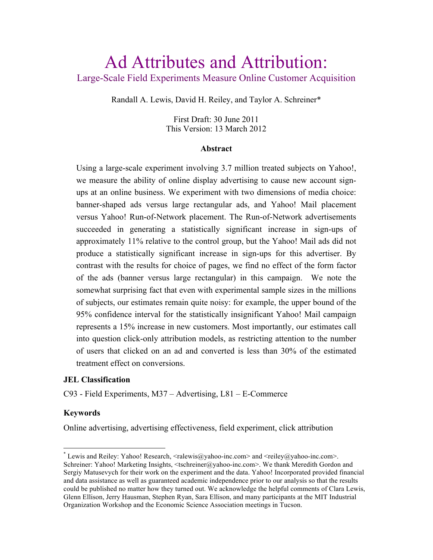# Ad Attributes and Attribution: Large-Scale Field Experiments Measure Online Customer Acquisition

Randall A. Lewis, David H. Reiley, and Taylor A. Schreiner\*

First Draft: 30 June 2011 This Version: 13 March 2012

#### **Abstract**

Using a large-scale experiment involving 3.7 million treated subjects on Yahoo!, we measure the ability of online display advertising to cause new account signups at an online business. We experiment with two dimensions of media choice: banner-shaped ads versus large rectangular ads, and Yahoo! Mail placement versus Yahoo! Run-of-Network placement. The Run-of-Network advertisements succeeded in generating a statistically significant increase in sign-ups of approximately 11% relative to the control group, but the Yahoo! Mail ads did not produce a statistically significant increase in sign-ups for this advertiser. By contrast with the results for choice of pages, we find no effect of the form factor of the ads (banner versus large rectangular) in this campaign. We note the somewhat surprising fact that even with experimental sample sizes in the millions of subjects, our estimates remain quite noisy: for example, the upper bound of the 95% confidence interval for the statistically insignificant Yahoo! Mail campaign represents a 15% increase in new customers. Most importantly, our estimates call into question click-only attribution models, as restricting attention to the number of users that clicked on an ad and converted is less than 30% of the estimated treatment effect on conversions.

#### **JEL Classification**

C93 - Field Experiments, M37 – Advertising, L81 – E-Commerce

#### **Keywords**

Online advertising, advertising effectiveness, field experiment, click attribution

 $^*$  Lewis and Reiley: Yahoo! Research,  $\langle$ ralewis@yahoo-inc.com $\rangle$  and  $\langle$ reiley@yahoo-inc.com $\rangle$ . Schreiner: Yahoo! Marketing Insights, <tschreiner@yahoo-inc.com>. We thank Meredith Gordon and Sergiy Matusevych for their work on the experiment and the data. Yahoo! Incorporated provided financial and data assistance as well as guaranteed academic independence prior to our analysis so that the results could be published no matter how they turned out. We acknowledge the helpful comments of Clara Lewis, Glenn Ellison, Jerry Hausman, Stephen Ryan, Sara Ellison, and many participants at the MIT Industrial Organization Workshop and the Economic Science Association meetings in Tucson.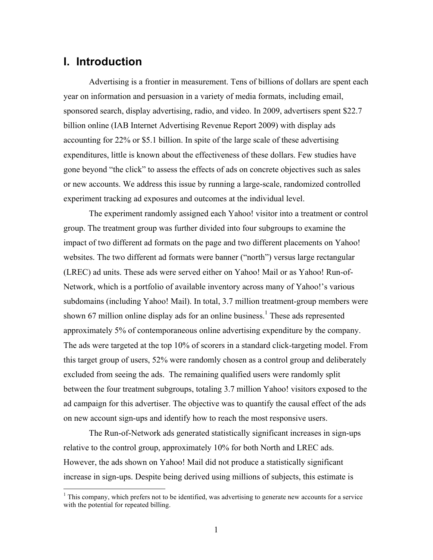### **I. Introduction**

Advertising is a frontier in measurement. Tens of billions of dollars are spent each year on information and persuasion in a variety of media formats, including email, sponsored search, display advertising, radio, and video. In 2009, advertisers spent \$22.7 billion online (IAB Internet Advertising Revenue Report 2009) with display ads accounting for 22% or \$5.1 billion. In spite of the large scale of these advertising expenditures, little is known about the effectiveness of these dollars. Few studies have gone beyond "the click" to assess the effects of ads on concrete objectives such as sales or new accounts. We address this issue by running a large-scale, randomized controlled experiment tracking ad exposures and outcomes at the individual level.

The experiment randomly assigned each Yahoo! visitor into a treatment or control group. The treatment group was further divided into four subgroups to examine the impact of two different ad formats on the page and two different placements on Yahoo! websites. The two different ad formats were banner ("north") versus large rectangular (LREC) ad units. These ads were served either on Yahoo! Mail or as Yahoo! Run-of-Network, which is a portfolio of available inventory across many of Yahoo!'s various subdomains (including Yahoo! Mail). In total, 3.7 million treatment-group members were shown 67 million online display ads for an online business.<sup>1</sup> These ads represented approximately 5% of contemporaneous online advertising expenditure by the company. The ads were targeted at the top 10% of scorers in a standard click-targeting model. From this target group of users, 52% were randomly chosen as a control group and deliberately excluded from seeing the ads. The remaining qualified users were randomly split between the four treatment subgroups, totaling 3.7 million Yahoo! visitors exposed to the ad campaign for this advertiser. The objective was to quantify the causal effect of the ads on new account sign-ups and identify how to reach the most responsive users.

The Run-of-Network ads generated statistically significant increases in sign-ups relative to the control group, approximately 10% for both North and LREC ads. However, the ads shown on Yahoo! Mail did not produce a statistically significant increase in sign-ups. Despite being derived using millions of subjects, this estimate is

 $1$ . This company, which prefers not to be identified, was advertising to generate new accounts for a service with the potential for repeated billing.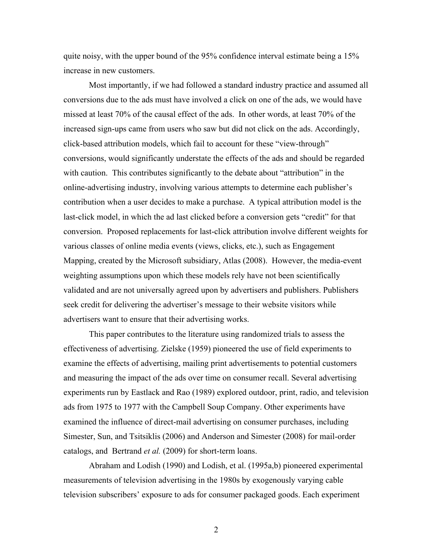quite noisy, with the upper bound of the 95% confidence interval estimate being a 15% increase in new customers.

Most importantly, if we had followed a standard industry practice and assumed all conversions due to the ads must have involved a click on one of the ads, we would have missed at least 70% of the causal effect of the ads. In other words, at least 70% of the increased sign-ups came from users who saw but did not click on the ads. Accordingly, click-based attribution models, which fail to account for these "view-through" conversions, would significantly understate the effects of the ads and should be regarded with caution. This contributes significantly to the debate about "attribution" in the online-advertising industry, involving various attempts to determine each publisher's contribution when a user decides to make a purchase. A typical attribution model is the last-click model, in which the ad last clicked before a conversion gets "credit" for that conversion. Proposed replacements for last-click attribution involve different weights for various classes of online media events (views, clicks, etc.), such as Engagement Mapping, created by the Microsoft subsidiary, Atlas (2008). However, the media-event weighting assumptions upon which these models rely have not been scientifically validated and are not universally agreed upon by advertisers and publishers. Publishers seek credit for delivering the advertiser's message to their website visitors while advertisers want to ensure that their advertising works.

This paper contributes to the literature using randomized trials to assess the effectiveness of advertising. Zielske (1959) pioneered the use of field experiments to examine the effects of advertising, mailing print advertisements to potential customers and measuring the impact of the ads over time on consumer recall. Several advertising experiments run by Eastlack and Rao (1989) explored outdoor, print, radio, and television ads from 1975 to 1977 with the Campbell Soup Company. Other experiments have examined the influence of direct-mail advertising on consumer purchases, including Simester, Sun, and Tsitsiklis (2006) and Anderson and Simester (2008) for mail-order catalogs, and Bertrand *et al.* (2009) for short-term loans.

Abraham and Lodish (1990) and Lodish, et al. (1995a,b) pioneered experimental measurements of television advertising in the 1980s by exogenously varying cable television subscribers' exposure to ads for consumer packaged goods. Each experiment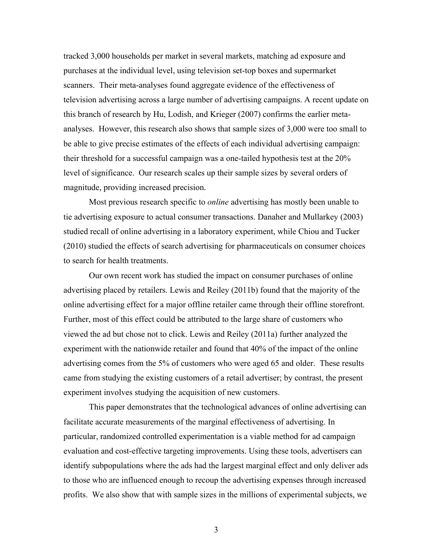tracked 3,000 households per market in several markets, matching ad exposure and purchases at the individual level, using television set-top boxes and supermarket scanners. Their meta-analyses found aggregate evidence of the effectiveness of television advertising across a large number of advertising campaigns. A recent update on this branch of research by Hu, Lodish, and Krieger (2007) confirms the earlier metaanalyses. However, this research also shows that sample sizes of 3,000 were too small to be able to give precise estimates of the effects of each individual advertising campaign: their threshold for a successful campaign was a one-tailed hypothesis test at the 20% level of significance. Our research scales up their sample sizes by several orders of magnitude, providing increased precision.

Most previous research specific to *online* advertising has mostly been unable to tie advertising exposure to actual consumer transactions. Danaher and Mullarkey (2003) studied recall of online advertising in a laboratory experiment, while Chiou and Tucker (2010) studied the effects of search advertising for pharmaceuticals on consumer choices to search for health treatments.

Our own recent work has studied the impact on consumer purchases of online advertising placed by retailers. Lewis and Reiley (2011b) found that the majority of the online advertising effect for a major offline retailer came through their offline storefront. Further, most of this effect could be attributed to the large share of customers who viewed the ad but chose not to click. Lewis and Reiley (2011a) further analyzed the experiment with the nationwide retailer and found that 40% of the impact of the online advertising comes from the 5% of customers who were aged 65 and older. These results came from studying the existing customers of a retail advertiser; by contrast, the present experiment involves studying the acquisition of new customers.

This paper demonstrates that the technological advances of online advertising can facilitate accurate measurements of the marginal effectiveness of advertising. In particular, randomized controlled experimentation is a viable method for ad campaign evaluation and cost-effective targeting improvements. Using these tools, advertisers can identify subpopulations where the ads had the largest marginal effect and only deliver ads to those who are influenced enough to recoup the advertising expenses through increased profits. We also show that with sample sizes in the millions of experimental subjects, we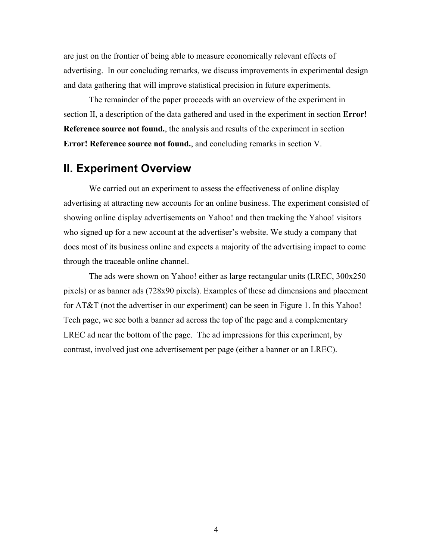are just on the frontier of being able to measure economically relevant effects of advertising. In our concluding remarks, we discuss improvements in experimental design and data gathering that will improve statistical precision in future experiments.

The remainder of the paper proceeds with an overview of the experiment in section II, a description of the data gathered and used in the experiment in section **Error! Reference source not found.**, the analysis and results of the experiment in section **Error! Reference source not found.**, and concluding remarks in section V.

### **II. Experiment Overview**

We carried out an experiment to assess the effectiveness of online display advertising at attracting new accounts for an online business. The experiment consisted of showing online display advertisements on Yahoo! and then tracking the Yahoo! visitors who signed up for a new account at the advertiser's website. We study a company that does most of its business online and expects a majority of the advertising impact to come through the traceable online channel.

The ads were shown on Yahoo! either as large rectangular units (LREC, 300x250 pixels) or as banner ads (728x90 pixels). Examples of these ad dimensions and placement for AT&T (not the advertiser in our experiment) can be seen in Figure 1. In this Yahoo! Tech page, we see both a banner ad across the top of the page and a complementary LREC ad near the bottom of the page. The ad impressions for this experiment, by contrast, involved just one advertisement per page (either a banner or an LREC).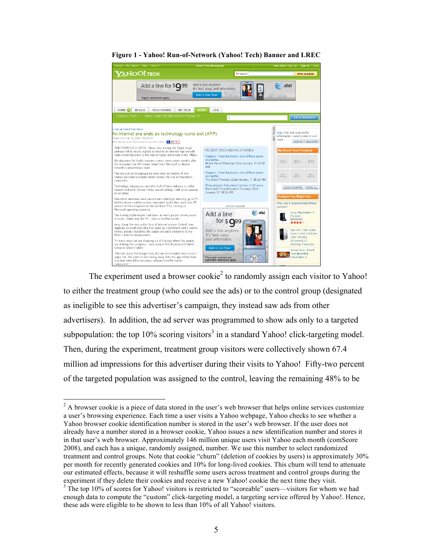

**Figure 1 - Yahoo! Run-of-Network (Yahoo! Tech) Banner and LREC**

The experiment used a browser cookie<sup>2</sup> to randomly assign each visitor to Yahoo! to either the treatment group (who could see the ads) or to the control group (designated as ineligible to see this advertiser's campaign, they instead saw ads from other advertisers). In addition, the ad server was programmed to show ads only to a targeted subpopulation: the top  $10\%$  scoring visitors<sup>3</sup> in a standard Yahoo! click-targeting model. Then, during the experiment, treatment group visitors were collectively shown 67.4 million ad impressions for this advertiser during their visits to Yahoo! Fifty-two percent of the targeted population was assigned to the control, leaving the remaining 48% to be

 $2$  A browser cookie is a piece of data stored in the user's web browser that helps online services customize a user's browsing experience. Each time a user visits a Yahoo webpage, Yahoo checks to see whether a Yahoo browser cookie identification number is stored in the user's web browser. If the user does not already have a number stored in a browser cookie, Yahoo issues a new identification number and stores it in that user's web browser. Approximately 146 million unique users visit Yahoo each month (comScore 2008), and each has a unique, randomly assigned, number. We use this number to select randomized treatment and control groups. Note that cookie "churn" (deletion of cookies by users) is approximately 30% per month for recently generated cookies and 10% for long-lived cookies. This churn will tend to attenuate our estimated effects, because it will reshuffle some users across treatment and control groups during the experiment if they delete their cookies and receive a new Yahoo! cookie the next time they visit.

<sup>&</sup>lt;sup>3</sup> The top 10% of scores for Yahoo! visitors is restricted to "scoreable" users—visitors for whom we had enough data to compute the "custom" click-targeting model, a targeting service offered by Yahoo!. Hence, these ads were eligible to be shown to less than 10% of all Yahoo! visitors.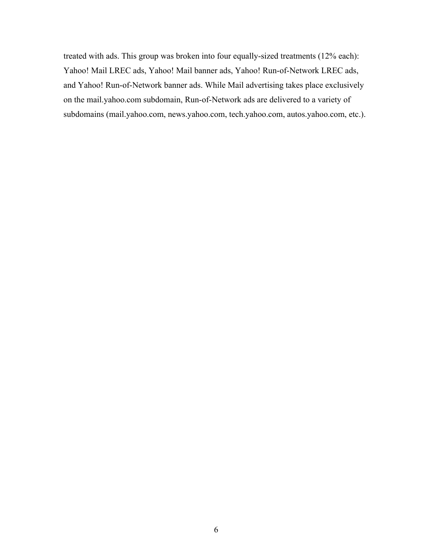treated with ads. This group was broken into four equally-sized treatments (12% each): Yahoo! Mail LREC ads, Yahoo! Mail banner ads, Yahoo! Run-of-Network LREC ads, and Yahoo! Run-of-Network banner ads. While Mail advertising takes place exclusively on the mail.yahoo.com subdomain, Run-of-Network ads are delivered to a variety of subdomains (mail.yahoo.com, news.yahoo.com, tech.yahoo.com, autos.yahoo.com, etc.).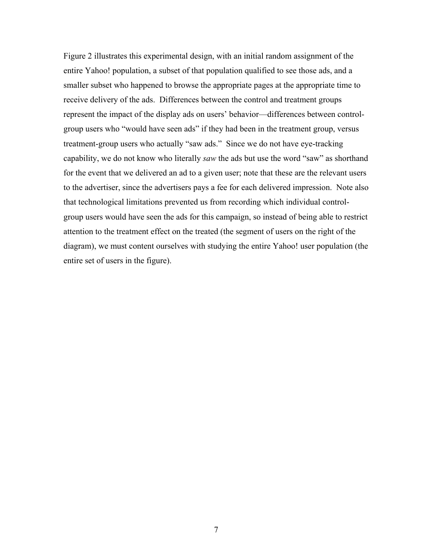Figure 2 illustrates this experimental design, with an initial random assignment of the entire Yahoo! population, a subset of that population qualified to see those ads, and a smaller subset who happened to browse the appropriate pages at the appropriate time to receive delivery of the ads. Differences between the control and treatment groups represent the impact of the display ads on users' behavior—differences between controlgroup users who "would have seen ads" if they had been in the treatment group, versus treatment-group users who actually "saw ads." Since we do not have eye-tracking capability, we do not know who literally *saw* the ads but use the word "saw" as shorthand for the event that we delivered an ad to a given user; note that these are the relevant users to the advertiser, since the advertisers pays a fee for each delivered impression. Note also that technological limitations prevented us from recording which individual controlgroup users would have seen the ads for this campaign, so instead of being able to restrict attention to the treatment effect on the treated (the segment of users on the right of the diagram), we must content ourselves with studying the entire Yahoo! user population (the entire set of users in the figure).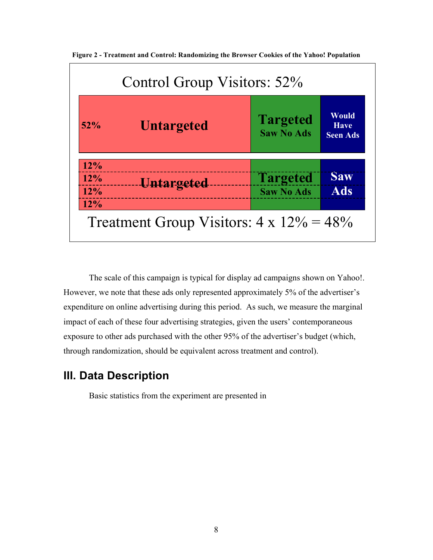| 52%                      | <b>Untargeted</b> | <b>Targeted</b><br><b>Saw No Ads</b> | <b>Would</b><br><b>Have</b><br><b>Seen Ads</b> |  |
|--------------------------|-------------------|--------------------------------------|------------------------------------------------|--|
| 12%<br>12%<br>12%<br>12% | <b>Untargeted</b> | <b>Targeted</b><br><b>Saw No Ads</b> | <b>Saw</b><br><b>Ads</b>                       |  |

**Figure 2 - Treatment and Control: Randomizing the Browser Cookies of the Yahoo! Population**

The scale of this campaign is typical for display ad campaigns shown on Yahoo!. However, we note that these ads only represented approximately 5% of the advertiser's expenditure on online advertising during this period. As such, we measure the marginal impact of each of these four advertising strategies, given the users' contemporaneous exposure to other ads purchased with the other 95% of the advertiser's budget (which, through randomization, should be equivalent across treatment and control).

### **III. Data Description**

Basic statistics from the experiment are presented in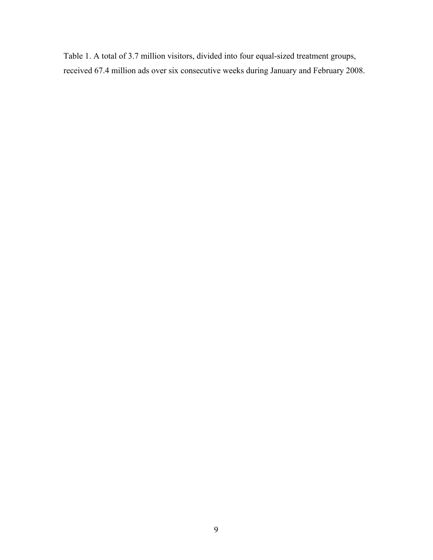Table 1. A total of 3.7 million visitors, divided into four equal-sized treatment groups, received 67.4 million ads over six consecutive weeks during January and February 2008.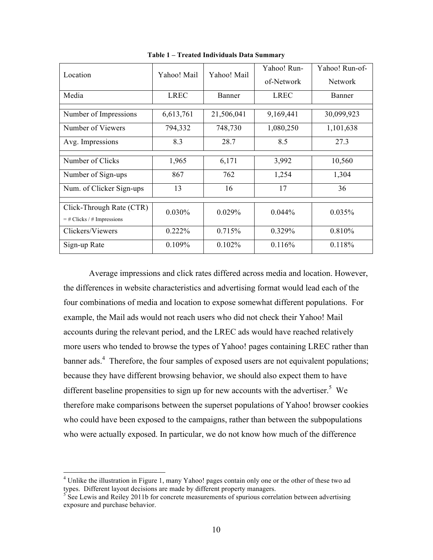| Location                                                 | Yahoo! Mail | Yahoo! Mail | Yahoo! Run- | Yahoo! Run-of- |  |
|----------------------------------------------------------|-------------|-------------|-------------|----------------|--|
|                                                          |             |             | of-Network  | <b>Network</b> |  |
| Media                                                    | <b>LREC</b> | Banner      | <b>LREC</b> | Banner         |  |
| Number of Impressions                                    | 6,613,761   | 21,506,041  | 9,169,441   | 30,099,923     |  |
| Number of Viewers                                        | 794,332     | 748,730     | 1,080,250   | 1,101,638      |  |
| Avg. Impressions                                         | 8.3         | 28.7        | 8.5         | 27.3           |  |
| Number of Clicks                                         | 1,965       | 6,171       | 3,992       | 10,560         |  |
| Number of Sign-ups                                       | 867         | 762         | 1,254       | 1,304          |  |
| Num. of Clicker Sign-ups                                 | 13          | 16<br>17    |             | 36             |  |
| Click-Through Rate (CTR)<br>$=$ # Clicks / # Impressions | 0.030%      | 0.029%      | $0.044\%$   | 0.035%         |  |
| Clickers/Viewers                                         | 0.222%      | 0.715%      | 0.329%      | 0.810%         |  |
| Sign-up Rate                                             | 0.109%      | $0.102\%$   | 0.116%      | 0.118%         |  |

**Table 1 – Treated Individuals Data Summary**

Average impressions and click rates differed across media and location. However, the differences in website characteristics and advertising format would lead each of the four combinations of media and location to expose somewhat different populations. For example, the Mail ads would not reach users who did not check their Yahoo! Mail accounts during the relevant period, and the LREC ads would have reached relatively more users who tended to browse the types of Yahoo! pages containing LREC rather than banner ads.<sup>4</sup> Therefore, the four samples of exposed users are not equivalent populations; because they have different browsing behavior, we should also expect them to have different baseline propensities to sign up for new accounts with the advertiser.<sup>5</sup> We therefore make comparisons between the superset populations of Yahoo! browser cookies who could have been exposed to the campaigns, rather than between the subpopulations who were actually exposed. In particular, we do not know how much of the difference

<sup>&</sup>lt;sup>4</sup> Unlike the illustration in Figure 1, many Yahoo! pages contain only one or the other of these two ad types. Different layout decisions are made by different property managers.

 $5$  See Lewis and Reiley 2011b for concrete measurements of spurious correlation between advertising exposure and purchase behavior.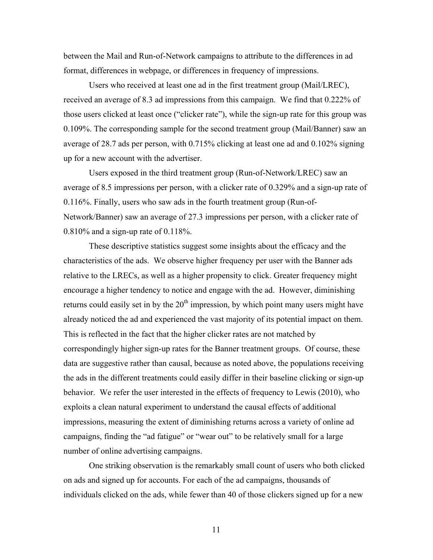between the Mail and Run-of-Network campaigns to attribute to the differences in ad format, differences in webpage, or differences in frequency of impressions.

Users who received at least one ad in the first treatment group (Mail/LREC), received an average of 8.3 ad impressions from this campaign. We find that 0.222% of those users clicked at least once ("clicker rate"), while the sign-up rate for this group was 0.109%. The corresponding sample for the second treatment group (Mail/Banner) saw an average of 28.7 ads per person, with 0.715% clicking at least one ad and 0.102% signing up for a new account with the advertiser.

Users exposed in the third treatment group (Run-of-Network/LREC) saw an average of 8.5 impressions per person, with a clicker rate of 0.329% and a sign-up rate of 0.116%. Finally, users who saw ads in the fourth treatment group (Run-of-Network/Banner) saw an average of 27.3 impressions per person, with a clicker rate of 0.810% and a sign-up rate of 0.118%.

These descriptive statistics suggest some insights about the efficacy and the characteristics of the ads. We observe higher frequency per user with the Banner ads relative to the LRECs, as well as a higher propensity to click. Greater frequency might encourage a higher tendency to notice and engage with the ad. However, diminishing returns could easily set in by the  $20<sup>th</sup>$  impression, by which point many users might have already noticed the ad and experienced the vast majority of its potential impact on them. This is reflected in the fact that the higher clicker rates are not matched by correspondingly higher sign-up rates for the Banner treatment groups. Of course, these data are suggestive rather than causal, because as noted above, the populations receiving the ads in the different treatments could easily differ in their baseline clicking or sign-up behavior. We refer the user interested in the effects of frequency to Lewis (2010), who exploits a clean natural experiment to understand the causal effects of additional impressions, measuring the extent of diminishing returns across a variety of online ad campaigns, finding the "ad fatigue" or "wear out" to be relatively small for a large number of online advertising campaigns.

One striking observation is the remarkably small count of users who both clicked on ads and signed up for accounts. For each of the ad campaigns, thousands of individuals clicked on the ads, while fewer than 40 of those clickers signed up for a new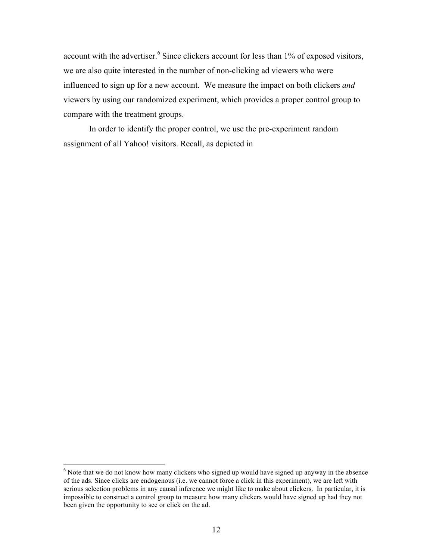account with the advertiser.<sup>6</sup> Since clickers account for less than 1% of exposed visitors, we are also quite interested in the number of non-clicking ad viewers who were influenced to sign up for a new account. We measure the impact on both clickers *and* viewers by using our randomized experiment, which provides a proper control group to compare with the treatment groups.

In order to identify the proper control, we use the pre-experiment random assignment of all Yahoo! visitors. Recall, as depicted in

<sup>&</sup>lt;sup>6</sup> Note that we do not know how many clickers who signed up would have signed up anyway in the absence of the ads. Since clicks are endogenous (i.e. we cannot force a click in this experiment), we are left with serious selection problems in any causal inference we might like to make about clickers. In particular, it is impossible to construct a control group to measure how many clickers would have signed up had they not been given the opportunity to see or click on the ad.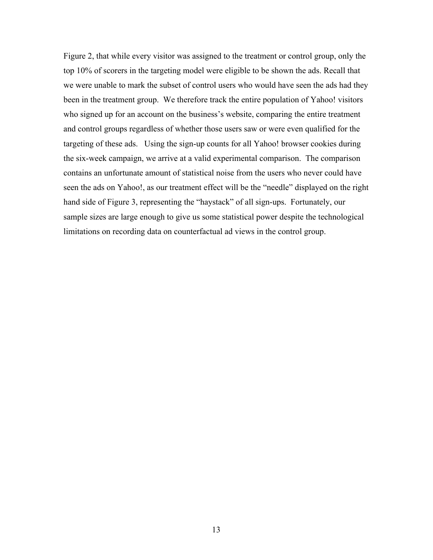Figure 2, that while every visitor was assigned to the treatment or control group, only the top 10% of scorers in the targeting model were eligible to be shown the ads. Recall that we were unable to mark the subset of control users who would have seen the ads had they been in the treatment group. We therefore track the entire population of Yahoo! visitors who signed up for an account on the business's website, comparing the entire treatment and control groups regardless of whether those users saw or were even qualified for the targeting of these ads. Using the sign-up counts for all Yahoo! browser cookies during the six-week campaign, we arrive at a valid experimental comparison. The comparison contains an unfortunate amount of statistical noise from the users who never could have seen the ads on Yahoo!, as our treatment effect will be the "needle" displayed on the right hand side of Figure 3, representing the "haystack" of all sign-ups. Fortunately, our sample sizes are large enough to give us some statistical power despite the technological limitations on recording data on counterfactual ad views in the control group.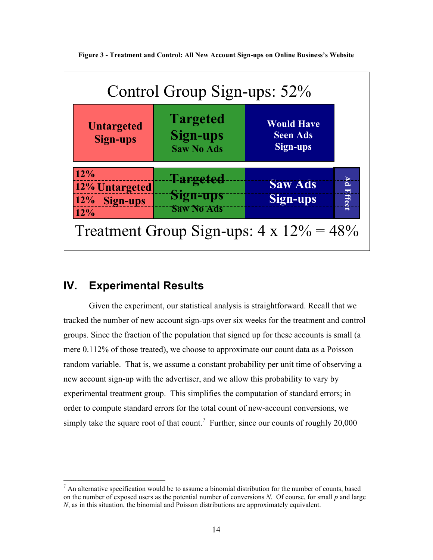

**Figure 3 - Treatment and Control: All New Account Sign-ups on Online Business's Website**

# **IV. Experimental Results**

Given the experiment, our statistical analysis is straightforward. Recall that we tracked the number of new account sign-ups over six weeks for the treatment and control groups. Since the fraction of the population that signed up for these accounts is small (a mere 0.112% of those treated), we choose to approximate our count data as a Poisson random variable. That is, we assume a constant probability per unit time of observing a new account sign-up with the advertiser, and we allow this probability to vary by experimental treatment group. This simplifies the computation of standard errors; in order to compute standard errors for the total count of new-account conversions, we simply take the square root of that count.<sup>7</sup> Further, since our counts of roughly 20,000

 $<sup>7</sup>$  An alternative specification would be to assume a binomial distribution for the number of counts, based</sup> on the number of exposed users as the potential number of conversions *N*. Of course, for small *p* and large *N*, as in this situation, the binomial and Poisson distributions are approximately equivalent.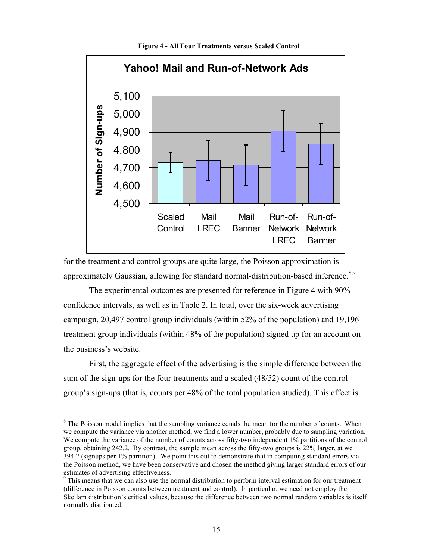

**Figure 4 - All Four Treatments versus Scaled Control** 

for the treatment and control groups are quite large, the Poisson approximation is approximately Gaussian, allowing for standard normal-distribution-based inference.<sup>8,9</sup>

The experimental outcomes are presented for reference in Figure 4 with 90% confidence intervals, as well as in Table 2. In total, over the six-week advertising campaign, 20,497 control group individuals (within 52% of the population) and 19,196 treatment group individuals (within 48% of the population) signed up for an account on the business's website.

First, the aggregate effect of the advertising is the simple difference between the sum of the sign-ups for the four treatments and a scaled (48/52) count of the control group's sign-ups (that is, counts per 48% of the total population studied). This effect is

<sup>&</sup>lt;sup>8</sup> The Poisson model implies that the sampling variance equals the mean for the number of counts. When we compute the variance via another method, we find a lower number, probably due to sampling variation. We compute the variance of the number of counts across fifty-two independent 1% partitions of the control group, obtaining 242.2. By contrast, the sample mean across the fifty-two groups is 22% larger, at we 394.2 (signups per 1% partition). We point this out to demonstrate that in computing standard errors via the Poisson method, we have been conservative and chosen the method giving larger standard errors of our estimates of advertising effectiveness.

<sup>&</sup>lt;sup>9</sup> This means that we can also use the normal distribution to perform interval estimation for our treatment (difference in Poisson counts between treatment and control). In particular, we need not employ the Skellam distribution's critical values, because the difference between two normal random variables is itself normally distributed.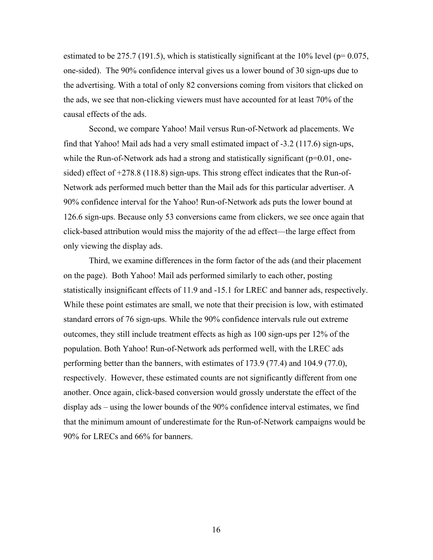estimated to be 275.7 (191.5), which is statistically significant at the 10% level ( $p=0.075$ , one-sided). The 90% confidence interval gives us a lower bound of 30 sign-ups due to the advertising. With a total of only 82 conversions coming from visitors that clicked on the ads, we see that non-clicking viewers must have accounted for at least 70% of the causal effects of the ads.

Second, we compare Yahoo! Mail versus Run-of-Network ad placements. We find that Yahoo! Mail ads had a very small estimated impact of -3.2 (117.6) sign-ups, while the Run-of-Network ads had a strong and statistically significant ( $p=0.01$ , onesided) effect of +278.8 (118.8) sign-ups. This strong effect indicates that the Run-of-Network ads performed much better than the Mail ads for this particular advertiser. A 90% confidence interval for the Yahoo! Run-of-Network ads puts the lower bound at 126.6 sign-ups. Because only 53 conversions came from clickers, we see once again that click-based attribution would miss the majority of the ad effect—the large effect from only viewing the display ads.

Third, we examine differences in the form factor of the ads (and their placement on the page). Both Yahoo! Mail ads performed similarly to each other, posting statistically insignificant effects of 11.9 and -15.1 for LREC and banner ads, respectively. While these point estimates are small, we note that their precision is low, with estimated standard errors of 76 sign-ups. While the 90% confidence intervals rule out extreme outcomes, they still include treatment effects as high as 100 sign-ups per 12% of the population. Both Yahoo! Run-of-Network ads performed well, with the LREC ads performing better than the banners, with estimates of 173.9 (77.4) and 104.9 (77.0), respectively. However, these estimated counts are not significantly different from one another. Once again, click-based conversion would grossly understate the effect of the display ads – using the lower bounds of the 90% confidence interval estimates, we find that the minimum amount of underestimate for the Run-of-Network campaigns would be 90% for LRECs and 66% for banners.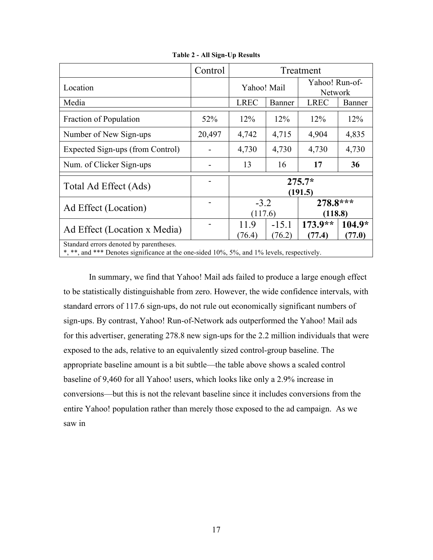|                                                                                                                                       | Control | Treatment                                  |                   |                                  |                  |  |  |  |
|---------------------------------------------------------------------------------------------------------------------------------------|---------|--------------------------------------------|-------------------|----------------------------------|------------------|--|--|--|
| Location                                                                                                                              |         | Yahoo! Mail                                |                   | Yahoo! Run-of-<br><b>Network</b> |                  |  |  |  |
| Media                                                                                                                                 |         | <b>LREC</b>                                | Banner            | <b>LREC</b>                      | Banner           |  |  |  |
| Fraction of Population                                                                                                                | 52%     | 12%                                        | 12%               | 12%                              | 12%              |  |  |  |
| Number of New Sign-ups                                                                                                                | 20,497  | 4,742                                      | 4,715             | 4,904                            | 4,835            |  |  |  |
| Expected Sign-ups (from Control)                                                                                                      |         | 4,730                                      | 4,730             | 4,730                            | 4,730            |  |  |  |
| Num. of Clicker Sign-ups                                                                                                              |         | 13                                         | 16                | 17                               | 36               |  |  |  |
| Total Ad Effect (Ads)                                                                                                                 |         | $275.7*$<br>(191.5)                        |                   |                                  |                  |  |  |  |
| Ad Effect (Location)                                                                                                                  |         | $278.8***$<br>$-3.2$<br>(117.6)<br>(118.8) |                   |                                  |                  |  |  |  |
| Ad Effect (Location x Media)                                                                                                          |         | 11.9<br>(76.4)                             | $-15.1$<br>(76.2) | $173.9**$<br>(77.4)              | 104.9*<br>(77.0) |  |  |  |
| Standard errors denoted by parentheses.<br>*, **, and *** Denotes significance at the one-sided 10%, 5%, and 1% levels, respectively. |         |                                            |                   |                                  |                  |  |  |  |

**Table 2 - All Sign-Up Results**

In summary, we find that Yahoo! Mail ads failed to produce a large enough effect to be statistically distinguishable from zero. However, the wide confidence intervals, with standard errors of 117.6 sign-ups, do not rule out economically significant numbers of sign-ups. By contrast, Yahoo! Run-of-Network ads outperformed the Yahoo! Mail ads for this advertiser, generating 278.8 new sign-ups for the 2.2 million individuals that were exposed to the ads, relative to an equivalently sized control-group baseline. The appropriate baseline amount is a bit subtle—the table above shows a scaled control baseline of 9,460 for all Yahoo! users, which looks like only a 2.9% increase in conversions—but this is not the relevant baseline since it includes conversions from the entire Yahoo! population rather than merely those exposed to the ad campaign. As we saw in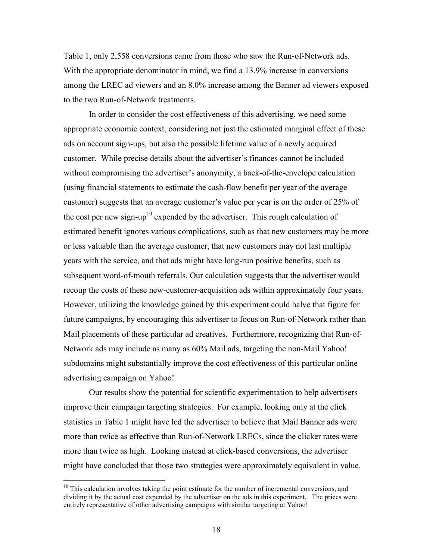Table 1, only 2,558 conversions came from those who saw the Run-of-Network ads. With the appropriate denominator in mind, we find a 13.9% increase in conversions among the LREC ad viewers and an 8.0% increase among the Banner ad viewers exposed to the two Run-of-Network treatments.

In order to consider the cost effectiveness of this advertising, we need some appropriate economic context, considering not just the estimated marginal effect of these ads on account sign-ups, but also the possible lifetime value of a newly acquired customer. While precise details about the advertiser's finances cannot be included without compromising the advertiser's anonymity, a back-of-the-envelope calculation (using financial statements to estimate the cash-flow benefit per year of the average customer) suggests that an average customer's value per year is on the order of 25% of the cost per new sign-up<sup>10</sup> expended by the advertiser. This rough calculation of estimated benefit ignores various complications, such as that new customers may be more or less valuable than the average customer, that new customers may not last multiple years with the service, and that ads might have long-run positive benefits, such as subsequent word-of-mouth referrals. Our calculation suggests that the advertiser would recoup the costs of these new-customer-acquisition ads within approximately four years. However, utilizing the knowledge gained by this experiment could halve that figure for future campaigns, by encouraging this advertiser to focus on Run-of-Network rather than Mail placements of these particular ad creatives. Furthermore, recognizing that Run-of-Network ads may include as many as 60% Mail ads, targeting the non-Mail Yahoo! subdomains might substantially improve the cost effectiveness of this particular online advertising campaign on Yahoo!

Our results show the potential for scientific experimentation to help advertisers improve their campaign targeting strategies. For example, looking only at the click statistics in Table 1 might have led the advertiser to believe that Mail Banner ads were more than twice as effective than Run-of-Network LRECs, since the clicker rates were more than twice as high. Looking instead at click-based conversions, the advertiser might have concluded that those two strategies were approximately equivalent in value.

 $10$  This calculation involves taking the point estimate for the number of incremental conversions, and dividing it by the actual cost expended by the advertiser on the ads in this experiment. The prices were entirely representative of other advertising campaigns with similar targeting at Yahoo!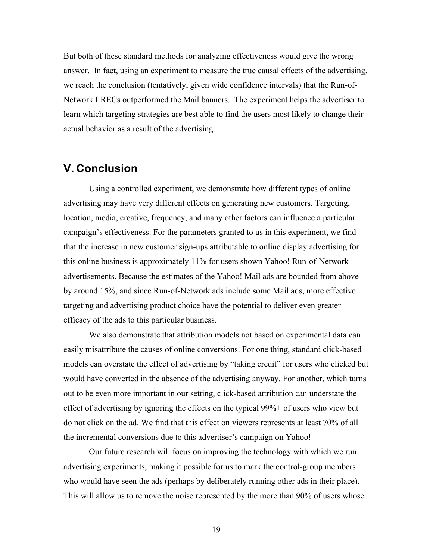But both of these standard methods for analyzing effectiveness would give the wrong answer. In fact, using an experiment to measure the true causal effects of the advertising, we reach the conclusion (tentatively, given wide confidence intervals) that the Run-of-Network LRECs outperformed the Mail banners. The experiment helps the advertiser to learn which targeting strategies are best able to find the users most likely to change their actual behavior as a result of the advertising.

## **V. Conclusion**

Using a controlled experiment, we demonstrate how different types of online advertising may have very different effects on generating new customers. Targeting, location, media, creative, frequency, and many other factors can influence a particular campaign's effectiveness. For the parameters granted to us in this experiment, we find that the increase in new customer sign-ups attributable to online display advertising for this online business is approximately 11% for users shown Yahoo! Run-of-Network advertisements. Because the estimates of the Yahoo! Mail ads are bounded from above by around 15%, and since Run-of-Network ads include some Mail ads, more effective targeting and advertising product choice have the potential to deliver even greater efficacy of the ads to this particular business.

We also demonstrate that attribution models not based on experimental data can easily misattribute the causes of online conversions. For one thing, standard click-based models can overstate the effect of advertising by "taking credit" for users who clicked but would have converted in the absence of the advertising anyway. For another, which turns out to be even more important in our setting, click-based attribution can understate the effect of advertising by ignoring the effects on the typical 99%+ of users who view but do not click on the ad. We find that this effect on viewers represents at least 70% of all the incremental conversions due to this advertiser's campaign on Yahoo!

Our future research will focus on improving the technology with which we run advertising experiments, making it possible for us to mark the control-group members who would have seen the ads (perhaps by deliberately running other ads in their place). This will allow us to remove the noise represented by the more than 90% of users whose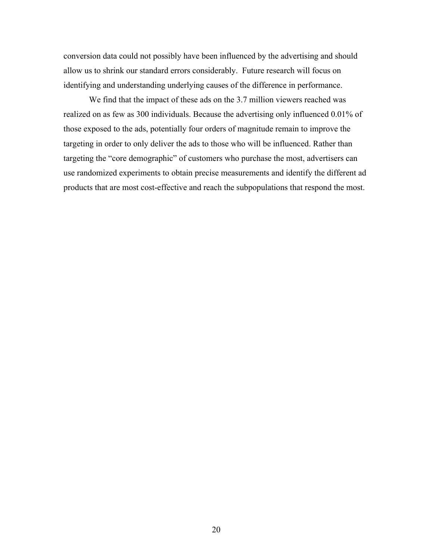conversion data could not possibly have been influenced by the advertising and should allow us to shrink our standard errors considerably. Future research will focus on identifying and understanding underlying causes of the difference in performance.

We find that the impact of these ads on the 3.7 million viewers reached was realized on as few as 300 individuals. Because the advertising only influenced 0.01% of those exposed to the ads, potentially four orders of magnitude remain to improve the targeting in order to only deliver the ads to those who will be influenced. Rather than targeting the "core demographic" of customers who purchase the most, advertisers can use randomized experiments to obtain precise measurements and identify the different ad products that are most cost-effective and reach the subpopulations that respond the most.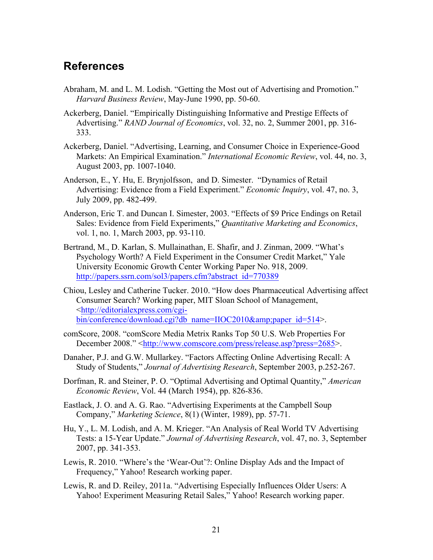### **References**

- Abraham, M. and L. M. Lodish. "Getting the Most out of Advertising and Promotion." *Harvard Business Review*, May-June 1990, pp. 50-60.
- Ackerberg, Daniel. "Empirically Distinguishing Informative and Prestige Effects of Advertising." *RAND Journal of Economics*, vol. 32, no. 2, Summer 2001, pp. 316- 333.
- Ackerberg, Daniel. "Advertising, Learning, and Consumer Choice in Experience-Good Markets: An Empirical Examination." *International Economic Review*, vol. 44, no. 3, August 2003, pp. 1007-1040.
- Anderson, E., Y. Hu, E. Brynjolfsson, and D. Simester. "Dynamics of Retail Advertising: Evidence from a Field Experiment." *Economic Inquiry*, vol. 47, no. 3, July 2009, pp. 482-499.
- Anderson, Eric T. and Duncan I. Simester, 2003. "Effects of \$9 Price Endings on Retail Sales: Evidence from Field Experiments," *Quantitative Marketing and Economics*, vol. 1, no. 1, March 2003, pp. 93-110.
- Bertrand, M., D. Karlan, S. Mullainathan, E. Shafir, and J. Zinman, 2009. "What's Psychology Worth? A Field Experiment in the Consumer Credit Market," Yale University Economic Growth Center Working Paper No. 918, 2009. http://papers.ssrn.com/sol3/papers.cfm?abstract\_id=770389
- Chiou, Lesley and Catherine Tucker. 2010. "How does Pharmaceutical Advertising affect Consumer Search? Working paper, MIT Sloan School of Management, <http://editorialexpress.com/cgibin/conference/download.cgi?db\_name=IIOC2010&paper\_id=514>.
- comScore, 2008. "comScore Media Metrix Ranks Top 50 U.S. Web Properties For December 2008." <http://www.comscore.com/press/release.asp?press=2685>.
- Danaher, P.J. and G.W. Mullarkey. "Factors Affecting Online Advertising Recall: A Study of Students," *Journal of Advertising Research*, September 2003, p.252-267.
- Dorfman, R. and Steiner, P. O. "Optimal Advertising and Optimal Quantity," *American Economic Review*, Vol. 44 (March 1954), pp. 826-836.
- Eastlack, J. O. and A. G. Rao. "Advertising Experiments at the Campbell Soup Company," *Marketing Science*, 8(1) (Winter, 1989), pp. 57-71.
- Hu, Y., L. M. Lodish, and A. M. Krieger. "An Analysis of Real World TV Advertising Tests: a 15-Year Update." *Journal of Advertising Research*, vol. 47, no. 3, September 2007, pp. 341-353.
- Lewis, R. 2010. "Where's the 'Wear-Out'?: Online Display Ads and the Impact of Frequency," Yahoo! Research working paper.
- Lewis, R. and D. Reiley, 2011a. "Advertising Especially Influences Older Users: A Yahoo! Experiment Measuring Retail Sales," Yahoo! Research working paper.